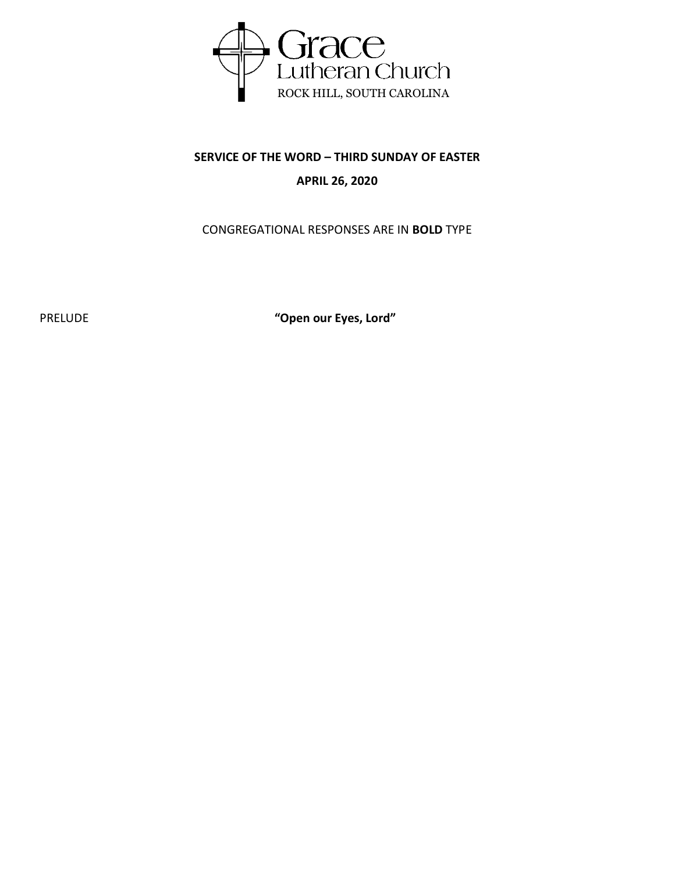

# **SERVICE OF THE WORD – THIRD SUNDAY OF EASTER APRIL 26, 2020**

## CONGREGATIONAL RESPONSES ARE IN **BOLD** TYPE

PRELUDE **"Open our Eyes, Lord"**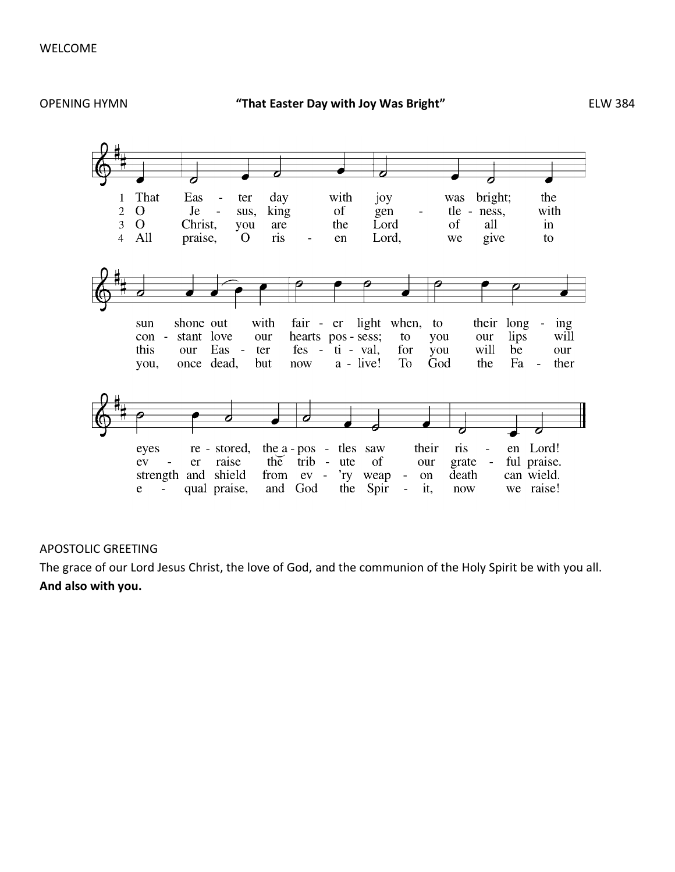

### APOSTOLIC GREETING

The grace of our Lord Jesus Christ, the love of God, and the communion of the Holy Spirit be with you all. **And also with you.**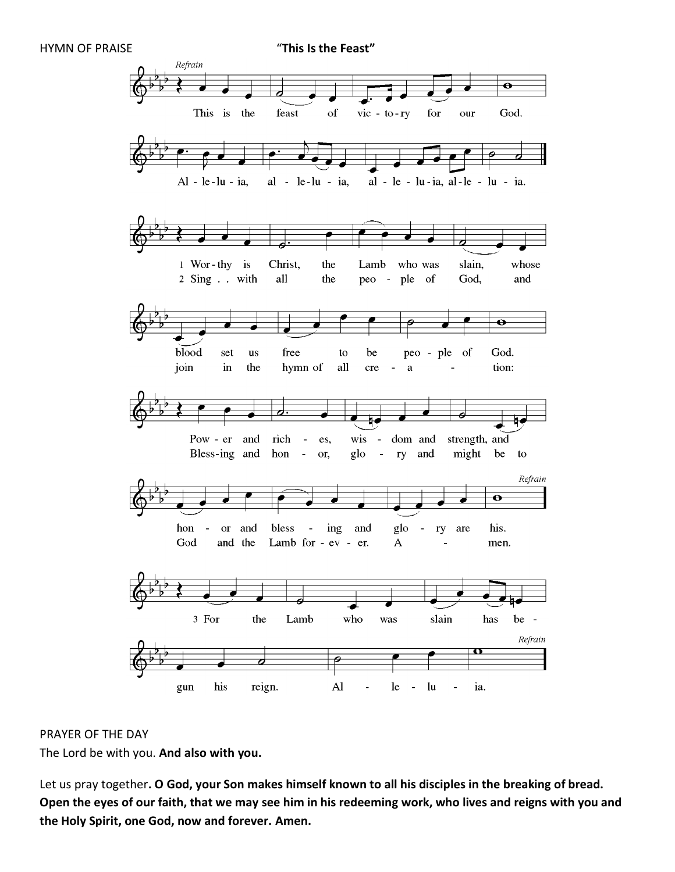HYMN OF PRAISE "**This Is the Feast"**



### PRAYER OF THE DAY

The Lord be with you. **And also with you.**

Let us pray together**. O God, your Son makes himself known to all his disciples in the breaking of bread. Open the eyes of our faith, that we may see him in his redeeming work, who lives and reigns with you and the Holy Spirit, one God, now and forever. Amen.**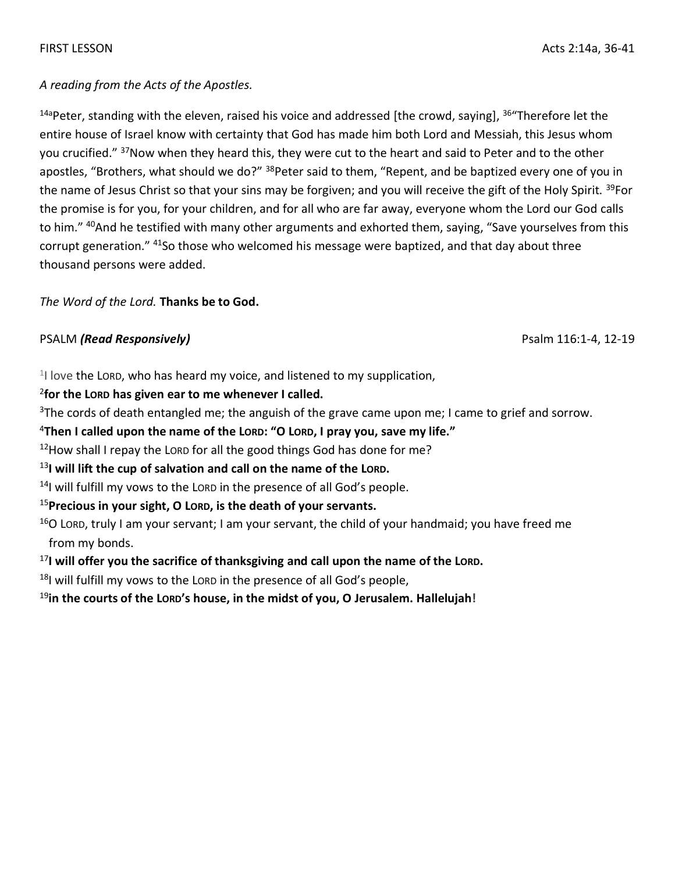## *A reading from the Acts of the Apostles.*

<sup>14a</sup>Peter, standing with the eleven, raised his voice and addressed [the crowd, saying], <sup>36</sup> Therefore let the entire house of Israel know with certainty that God has made him both Lord and Messiah, this Jesus whom you crucified." <sup>37</sup>Now when they heard this, they were cut to the heart and said to Peter and to the other apostles, "Brothers, what should we do?" <sup>38</sup>Peter said to them, "Repent, and be baptized every one of you in the name of Jesus Christ so that your sins may be forgiven; and you will receive the gift of the Holy Spirit. <sup>39</sup>For the promise is for you, for your children, and for all who are far away, everyone whom the Lord our God calls to him." <sup>40</sup>And he testified with many other arguments and exhorted them, saying, "Save yourselves from this corrupt generation." <sup>41</sup>So those who welcomed his message were baptized, and that day about three thousand persons were added.

## *The Word of the Lord.* **Thanks be to God.**

## PSALM *(Read Responsively)* Psalm 116:1-4, 12-19

<sup>1</sup>I love the Lorp, who has heard my voice, and listened to my supplication,

## 2 **for the LORD has given ear to me whenever I called.**

 $3$ The cords of death entangled me; the anguish of the grave came upon me; I came to grief and sorrow.

#### <sup>4</sup>**Then I called upon the name of the LORD: "O LORD, I pray you, save my life."**

 $12$ How shall I repay the LORD for all the good things God has done for me?

### <sup>13</sup>**I will lift the cup of salvation and call on the name of the LORD.**

<sup>14</sup>I will fulfill my vows to the LORD in the presence of all God's people.

## <sup>15</sup>**Precious in your sight, O LORD, is the death of your servants.**

 $16$ O LORD, truly I am your servant; I am your servant, the child of your handmaid; you have freed me from my bonds.

<sup>17</sup>**I will offer you the sacrifice of thanksgiving and call upon the name of the LORD.**

 $18$ I will fulfill my vows to the LORD in the presence of all God's people,

<sup>19</sup>**in the courts of the LORD's house, in the midst of you, O Jerusalem. Hallelujah!**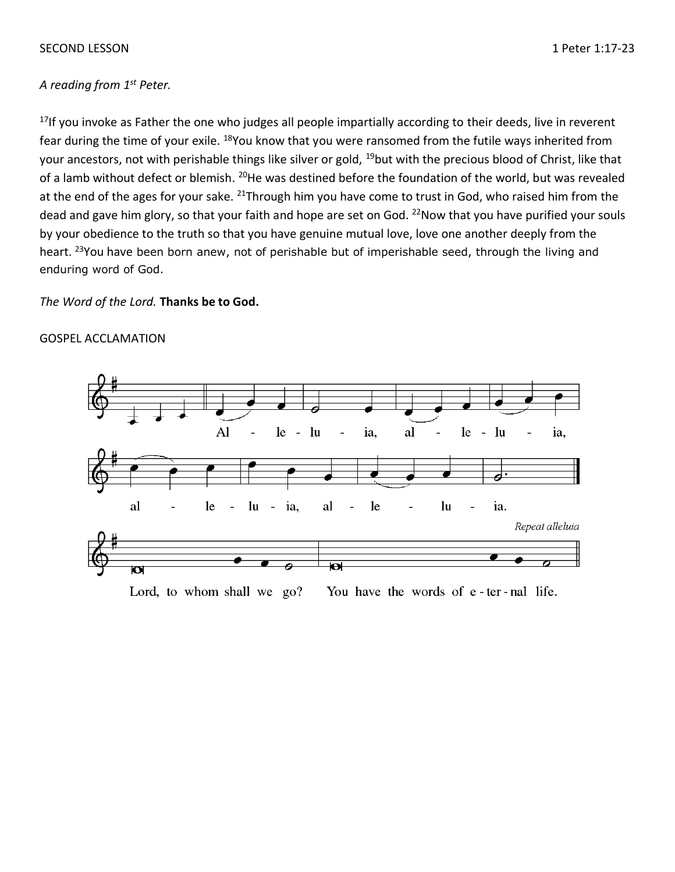#### SECOND LESSON 1 Peter 1:17-23

### *A reading from 1 st Peter.*

<sup>17</sup>If you invoke as Father the one who judges all people impartially according to their deeds, live in reverent fear during the time of your exile. <sup>18</sup>You know that you were ransomed from the futile ways inherited from your ancestors, not with perishable things like silver or gold, <sup>19</sup>but with the precious blood of Christ, like that of a lamb without defect or blemish. <sup>20</sup>He was destined before the foundation of the world, but was revealed at the end of the ages for your sake. <sup>21</sup>Through him you have come to trust in God, who raised him from the dead and gave him glory, so that your faith and hope are set on God. <sup>22</sup>Now that you have purified your souls by your obedience to the truth so that you have genuine mutual love, love one another deeply from the heart. <sup>23</sup>You have been born anew, not of perishable but of imperishable seed, through the living and enduring word of God.

#### *The Word of the Lord.* **Thanks be to God.**

#### GOSPEL ACCLAMATION



Lord, to whom shall we go? You have the words of e-ter-nal life.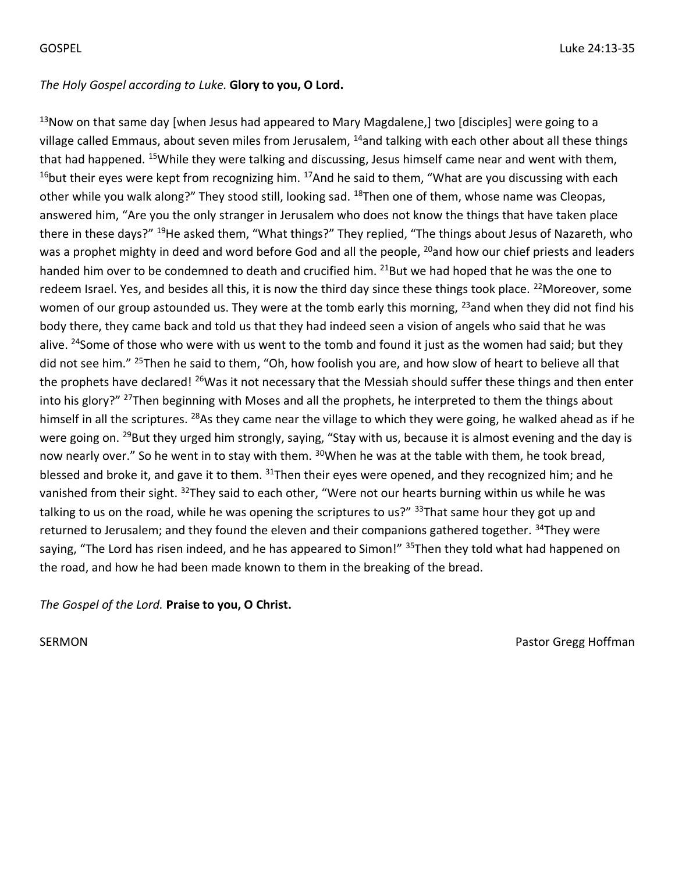## *The Holy Gospel according to Luke.* **Glory to you, O Lord.**

 $13$ Now on that same day [when Jesus had appeared to Mary Magdalene,] two [disciples] were going to a village called Emmaus, about seven miles from Jerusalem, <sup>14</sup>and talking with each other about all these things that had happened. <sup>15</sup>While they were talking and discussing, Jesus himself came near and went with them,  $16$ but their eyes were kept from recognizing him.  $17$ And he said to them, "What are you discussing with each other while you walk along?" They stood still, looking sad. <sup>18</sup>Then one of them, whose name was Cleopas, answered him, "Are you the only stranger in Jerusalem who does not know the things that have taken place there in these days?" <sup>19</sup>He asked them, "What things?" They replied, "The things about Jesus of Nazareth, who was a prophet mighty in deed and word before God and all the people, <sup>20</sup>and how our chief priests and leaders handed him over to be condemned to death and crucified him. <sup>21</sup>But we had hoped that he was the one to redeem Israel. Yes, and besides all this, it is now the third day since these things took place. <sup>22</sup>Moreover, some women of our group astounded us. They were at the tomb early this morning, <sup>23</sup>and when they did not find his body there, they came back and told us that they had indeed seen a vision of angels who said that he was alive. <sup>24</sup>Some of those who were with us went to the tomb and found it just as the women had said; but they did not see him." <sup>25</sup>Then he said to them, "Oh, how foolish you are, and how slow of heart to believe all that the prophets have declared! <sup>26</sup>Was it not necessary that the Messiah should suffer these things and then enter into his glory?" <sup>27</sup>Then beginning with Moses and all the prophets, he interpreted to them the things about himself in all the scriptures. <sup>28</sup>As they came near the village to which they were going, he walked ahead as if he were going on. <sup>29</sup>But they urged him strongly, saying, "Stay with us, because it is almost evening and the day is now nearly over." So he went in to stay with them. <sup>30</sup>When he was at the table with them, he took bread, blessed and broke it, and gave it to them. <sup>31</sup>Then their eyes were opened, and they recognized him; and he vanished from their sight. <sup>32</sup>They said to each other, "Were not our hearts burning within us while he was talking to us on the road, while he was opening the scriptures to us?" <sup>33</sup>That same hour they got up and returned to Jerusalem; and they found the eleven and their companions gathered together. <sup>34</sup>They were saying, "The Lord has risen indeed, and he has appeared to Simon!" <sup>35</sup>Then they told what had happened on the road, and how he had been made known to them in the breaking of the bread.

### *The Gospel of the Lord.* **Praise to you, O Christ.**

SERMON **Pastor Gregg Hoffman**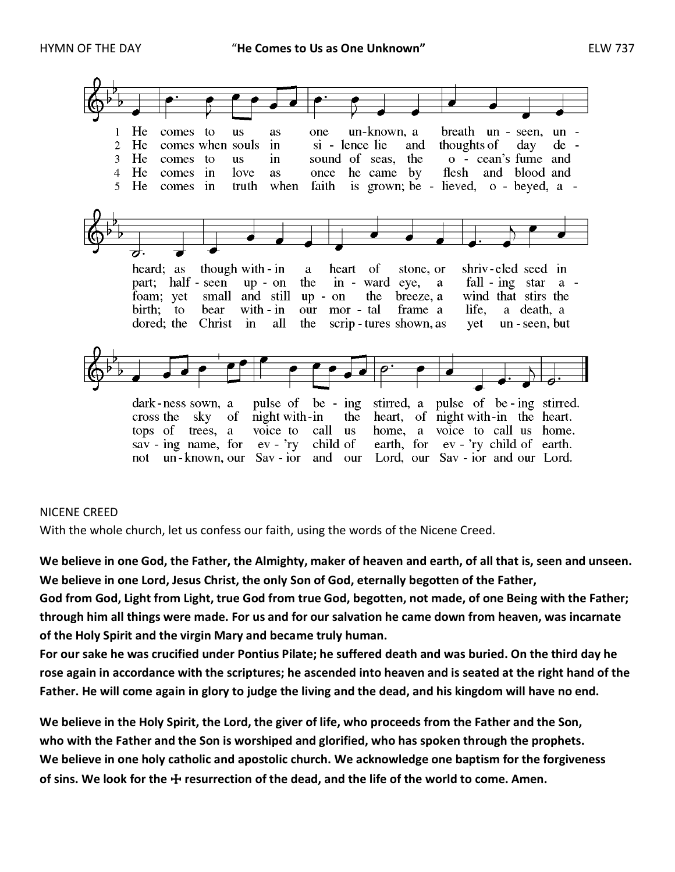

#### NICENE CREED

With the whole church, let us confess our faith, using the words of the Nicene Creed.

**We believe in one God, the Father, the Almighty, maker of heaven and earth, of all that is, seen and unseen. We believe in one Lord, Jesus Christ, the only Son of God, eternally begotten of the Father, God from God, Light from Light, true God from true God, begotten, not made, of one Being with the Father;** 

**through him all things were made. For us and for our salvation he came down from heaven, was incarnate of the Holy Spirit and the virgin Mary and became truly human.** 

**For our sake he was crucified under Pontius Pilate; he suffered death and was buried. On the third day he rose again in accordance with the scriptures; he ascended into heaven and is seated at the right hand of the Father. He will come again in glory to judge the living and the dead, and his kingdom will have no end.**

**We believe in the Holy Spirit, the Lord, the giver of life, who proceeds from the Father and the Son, who with the Father and the Son is worshiped and glorified, who has spoken through the prophets. We believe in one holy catholic and apostolic church. We acknowledge one baptism for the forgiveness of sins. We look for the** ☩ **resurrection of the dead, and the life of the world to come. Amen.**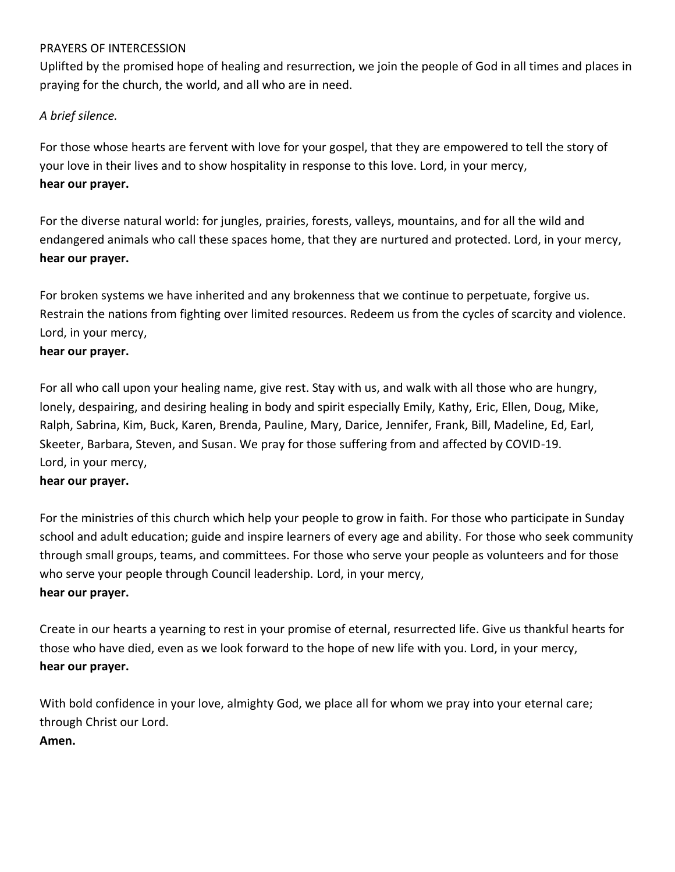## PRAYERS OF INTERCESSION

Uplifted by the promised hope of healing and resurrection, we join the people of God in all times and places in praying for the church, the world, and all who are in need.

## *A brief silence.*

For those whose hearts are fervent with love for your gospel, that they are empowered to tell the story of your love in their lives and to show hospitality in response to this love. Lord, in your mercy, **hear our prayer.**

For the diverse natural world: for jungles, prairies, forests, valleys, mountains, and for all the wild and endangered animals who call these spaces home, that they are nurtured and protected. Lord, in your mercy, **hear our prayer.**

For broken systems we have inherited and any brokenness that we continue to perpetuate, forgive us. Restrain the nations from fighting over limited resources. Redeem us from the cycles of scarcity and violence. Lord, in your mercy,

## **hear our prayer.**

For all who call upon your healing name, give rest. Stay with us, and walk with all those who are hungry, lonely, despairing, and desiring healing in body and spirit especially Emily, Kathy, Eric, Ellen, Doug, Mike, Ralph, Sabrina, Kim, Buck, Karen, Brenda, Pauline, Mary, Darice, Jennifer, Frank, Bill, Madeline, Ed, Earl, Skeeter, Barbara, Steven, and Susan. We pray for those suffering from and affected by COVID-19. Lord, in your mercy,

### **hear our prayer.**

For the ministries of this church which help your people to grow in faith. For those who participate in Sunday school and adult education; guide and inspire learners of every age and ability. For those who seek community through small groups, teams, and committees. For those who serve your people as volunteers and for those who serve your people through Council leadership. Lord, in your mercy, **hear our prayer.**

Create in our hearts a yearning to rest in your promise of eternal, resurrected life. Give us thankful hearts for those who have died, even as we look forward to the hope of new life with you. Lord, in your mercy, **hear our prayer.**

With bold confidence in your love, almighty God, we place all for whom we pray into your eternal care; through Christ our Lord. **Amen.**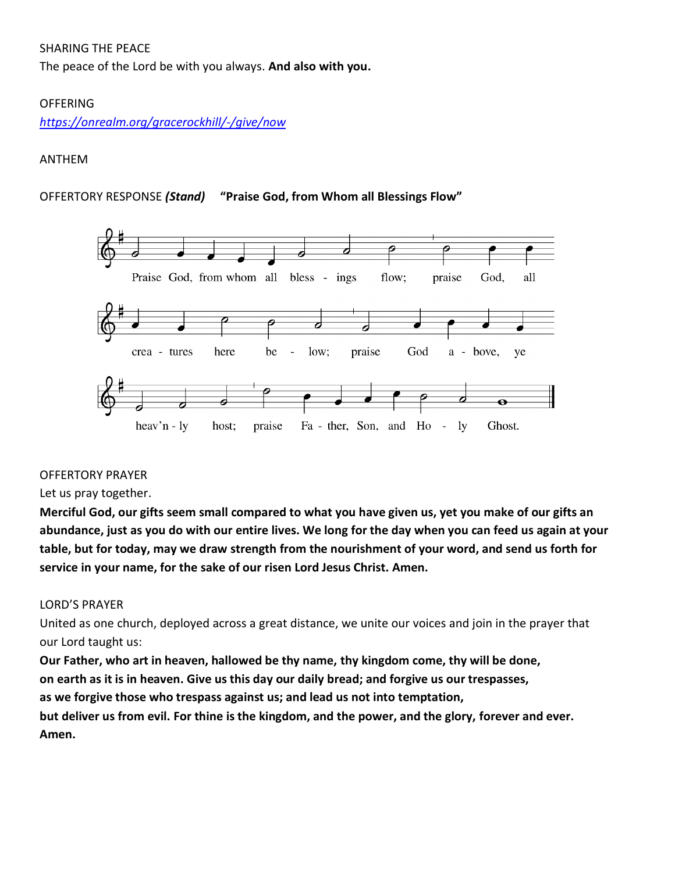## SHARING THE PEACE

The peace of the Lord be with you always. **And also with you.**

## OFFERING

*<https://onrealm.org/gracerockhill/-/give/now>*

## ANTHEM

## OFFERTORY RESPONSE *(Stand)* **"Praise God, from Whom all Blessings Flow"**



## OFFERTORY PRAYER

## Let us pray together.

Merciful God, our gifts seem small compared to what you have given us, yet you make of our gifts an abundance, just as you do with our entire lives. We long for the day when you can feed us again at your table, but for today, may we draw strength from the nourishment of your word, and send us forth for **service in your name, for the sake of our risen Lord Jesus Christ. Amen.**

### LORD'S PRAYER

United as one church, deployed across a great distance, we unite our voices and join in the prayer that our Lord taught us:

**Our Father, who art in heaven, hallowed be thy name, thy kingdom come, thy will be done, on earth as it is in heaven. Give us this day our daily bread; and forgive us our trespasses, as we forgive those who trespass against us; and lead us not into temptation, but deliver us from evil. For thine is the kingdom, and the power, and the glory, forever and ever. Amen.**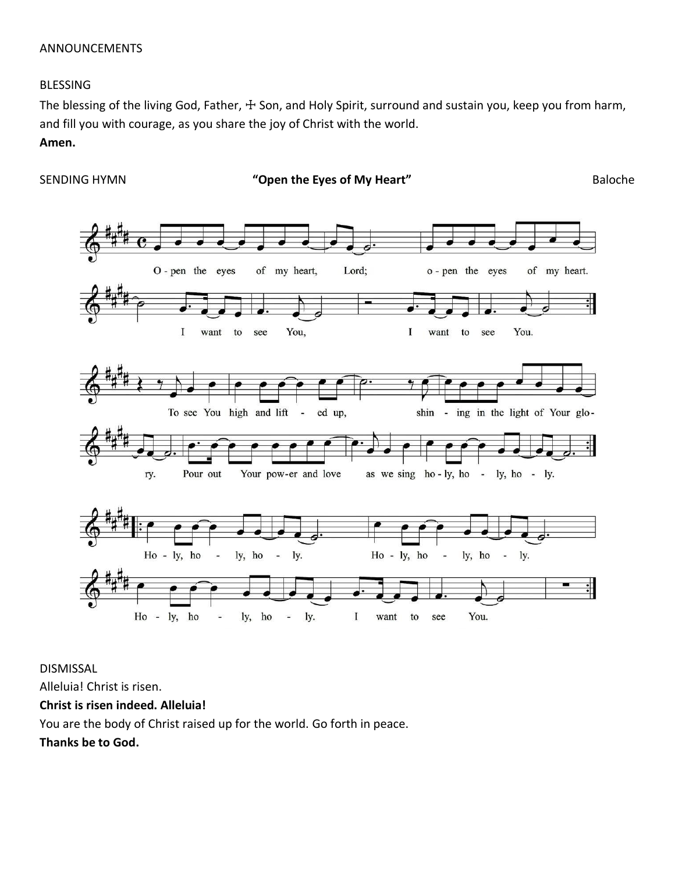### ANNOUNCEMENTS

#### BLESSING

The blessing of the living God, Father, ☩ Son, and Holy Spirit, surround and sustain you, keep you from harm, and fill you with courage, as you share the joy of Christ with the world.

#### **Amen.**



DISMISSAL

Alleluia! Christ is risen.

**Christ is risen indeed. Alleluia!**

You are the body of Christ raised up for the world. Go forth in peace.

**Thanks be to God.**